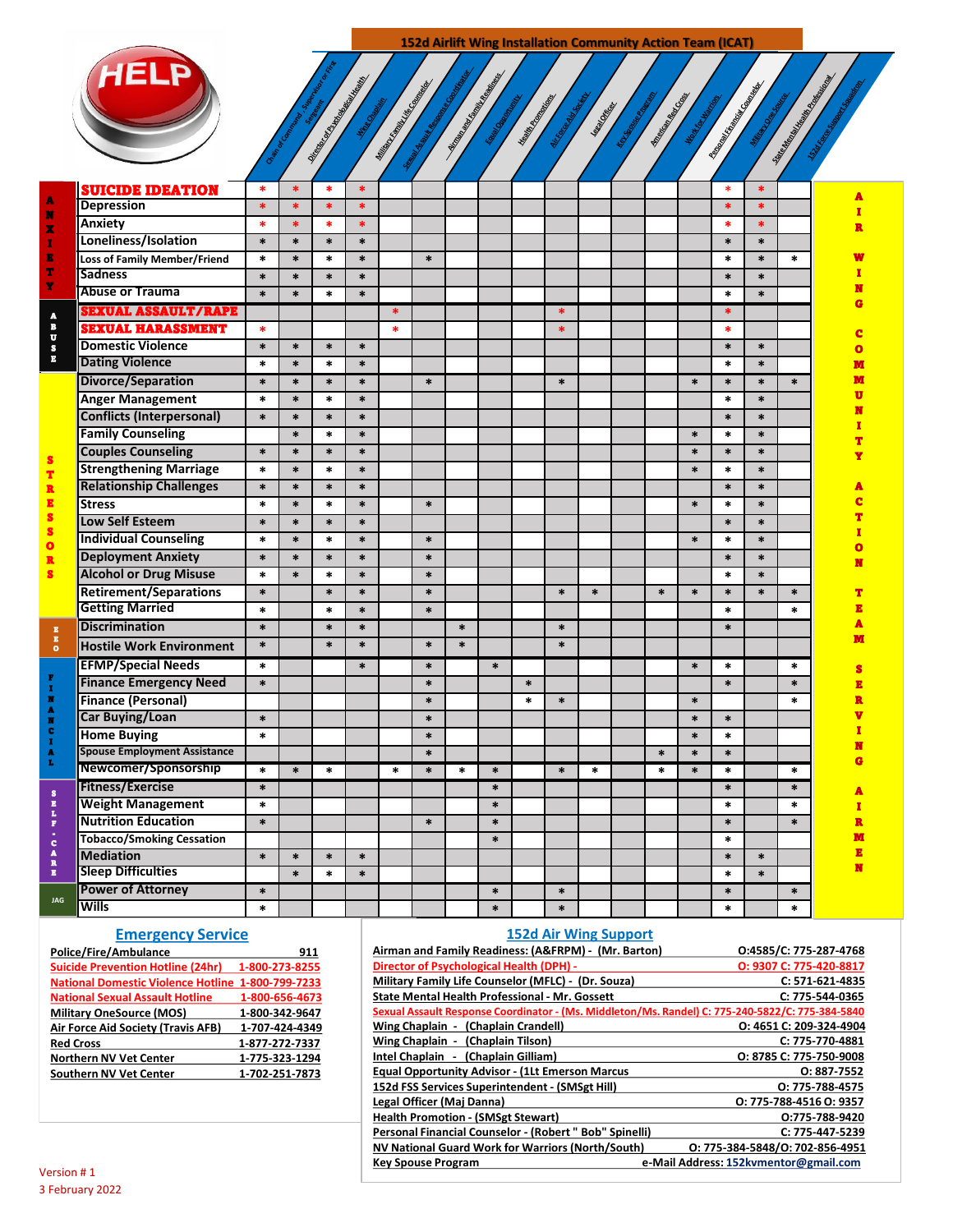152d Airlift Wing Installation Community Action Team (ICAT)



|                                                                      | <b>SUICIDE IDEATION</b>             | *      | $\ast$ | *      | $\ast$ |        |        |        |        |        |        |        |        |        | $\ast$ | $\ast$ |        |   |
|----------------------------------------------------------------------|-------------------------------------|--------|--------|--------|--------|--------|--------|--------|--------|--------|--------|--------|--------|--------|--------|--------|--------|---|
| ٨<br>N<br>X<br>т                                                     | Depression                          | $\ast$ | $\ast$ | $\ast$ | $\ast$ |        |        |        |        |        |        |        |        |        | $\ast$ | $\ast$ |        |   |
|                                                                      | Anxiety                             | $\ast$ | $\ast$ | $\ast$ | $\ast$ |        |        |        |        |        |        |        |        |        | $\ast$ | $\ast$ |        |   |
|                                                                      | Loneliness/Isolation                | $\ast$ | $\ast$ | $\ast$ | $\ast$ |        |        |        |        |        |        |        |        |        | $\ast$ | $\ast$ |        |   |
|                                                                      | <b>Loss of Family Member/Friend</b> | $\ast$ | $\ast$ | $\ast$ | $\ast$ |        | $\ast$ |        |        |        |        |        |        |        | $\ast$ | $\ast$ | $\ast$ |   |
|                                                                      | <b>Sadness</b>                      | $\ast$ | $\ast$ | $\ast$ | $\ast$ |        |        |        |        |        |        |        |        |        | $\ast$ | $\ast$ |        |   |
|                                                                      | <b>Abuse or Trauma</b>              | $\ast$ | $\ast$ | $\ast$ | $\ast$ |        |        |        |        |        |        |        |        |        | $\ast$ | $\ast$ |        |   |
| A<br>B<br>$\overline{\mathbf{u}}$<br>$\frac{1}{2}$                   | <b>SEXUAL ASSAULT/RAPE</b>          |        |        |        |        | *      |        |        |        |        | *      |        |        |        | *      |        |        |   |
|                                                                      | <b>SEXUAL HARASSMENT</b>            | $\ast$ |        |        |        | $\ast$ |        |        |        |        | $\ast$ |        |        |        | *      |        |        |   |
|                                                                      | <b>Domestic Violence</b>            | $\ast$ | $\ast$ | $\ast$ | $\ast$ |        |        |        |        |        |        |        |        |        | $\ast$ | $\ast$ |        |   |
|                                                                      | <b>Dating Violence</b>              | $\ast$ | $\ast$ | $\ast$ | $\ast$ |        |        |        |        |        |        |        |        |        | $\ast$ | $\ast$ |        |   |
| S<br>T.                                                              | Divorce/Separation                  | $\ast$ | $\ast$ | $\ast$ | $\ast$ |        | $\ast$ |        |        |        | $\ast$ |        |        | $\ast$ | $\ast$ | $\ast$ | $\ast$ |   |
|                                                                      | <b>Anger Management</b>             | $\ast$ | $\ast$ | $\ast$ | $\ast$ |        |        |        |        |        |        |        |        |        | $\ast$ | $\ast$ |        |   |
|                                                                      | <b>Conflicts (Interpersonal)</b>    | $\ast$ | $\ast$ | $\ast$ | $\ast$ |        |        |        |        |        |        |        |        |        | $\ast$ | $\ast$ |        |   |
|                                                                      | <b>Family Counseling</b>            |        | $\ast$ | $\ast$ | $\ast$ |        |        |        |        |        |        |        |        | $\ast$ | $\ast$ | $\ast$ |        |   |
|                                                                      | <b>Couples Counseling</b>           | $\ast$ | $\ast$ | $\ast$ | $\ast$ |        |        |        |        |        |        |        |        | $\ast$ | $\ast$ | $\ast$ |        |   |
|                                                                      | <b>Strengthening Marriage</b>       | $\ast$ | $\ast$ | $\ast$ | $\ast$ |        |        |        |        |        |        |        |        | $\ast$ | $\ast$ | $\ast$ |        |   |
| R                                                                    | <b>Relationship Challenges</b>      | $\ast$ | $\ast$ | $\ast$ | $\ast$ |        |        |        |        |        |        |        |        |        | $\ast$ | $\ast$ |        |   |
| E<br>S<br>s<br>$\overline{\mathbf{o}}$<br>R<br>s.                    | <b>Stress</b>                       | $\ast$ | $\ast$ | $\ast$ | $\ast$ |        | $\ast$ |        |        |        |        |        |        | $\ast$ | $\ast$ | $\ast$ |        |   |
|                                                                      | Low Self Esteem                     | $\ast$ | $\ast$ | $\ast$ | $\ast$ |        |        |        |        |        |        |        |        |        | $\ast$ | $\ast$ |        |   |
|                                                                      | <b>Individual Counseling</b>        | $\ast$ | $\ast$ | $\ast$ | $\ast$ |        | $\ast$ |        |        |        |        |        |        | $\ast$ | $\ast$ | $\ast$ |        |   |
|                                                                      | <b>Deployment Anxiety</b>           | $\ast$ | $\ast$ | $\ast$ | $\ast$ |        | $\ast$ |        |        |        |        |        |        |        | $\ast$ | $\ast$ |        |   |
|                                                                      | <b>Alcohol or Drug Misuse</b>       | $\ast$ | $\ast$ | $\ast$ | $\ast$ |        | $\ast$ |        |        |        |        |        |        |        | $\ast$ | $\ast$ |        |   |
|                                                                      | <b>Retirement/Separations</b>       | $\ast$ |        | $\ast$ | $\ast$ |        | $\ast$ |        |        |        | $\ast$ | $\ast$ | $\ast$ | $\ast$ | $\ast$ | $\ast$ | $\ast$ |   |
|                                                                      | <b>Getting Married</b>              | $\ast$ |        | $\ast$ | $\ast$ |        | $\ast$ |        |        |        |        |        |        |        | $\ast$ |        | $\ast$ |   |
| $\mathbf{z}$                                                         | <b>Discrimination</b>               | $\ast$ |        | $\ast$ | $\ast$ |        |        | $\ast$ |        |        | $\ast$ |        |        |        | $\ast$ |        |        |   |
| $\mathbf{E}$<br>$\bullet$                                            | <b>Hostile Work Environment</b>     | $\ast$ |        | $\ast$ | $\ast$ |        | $\ast$ | $\ast$ |        |        | $\ast$ |        |        |        |        |        |        |   |
|                                                                      | <b>EFMP/Special Needs</b>           | $\ast$ |        |        | $\ast$ |        | $\ast$ |        | $\ast$ |        |        |        |        | $\ast$ | $\ast$ |        | $\ast$ |   |
| F                                                                    | <b>Finance Emergency Need</b>       | $\ast$ |        |        |        |        | $\ast$ |        |        | $\ast$ |        |        |        |        | $\ast$ |        | $\ast$ |   |
| $\mathbf{r}$<br>×<br>A<br>Ħ<br>c<br>$\mathbf{r}$<br>A<br>L.          | <b>Finance (Personal)</b>           |        |        |        |        |        | $\ast$ |        |        | $\ast$ | $\ast$ |        |        | $\ast$ |        |        | $\ast$ |   |
|                                                                      | <b>Car Buying/Loan</b>              | $\ast$ |        |        |        |        | $\ast$ |        |        |        |        |        |        | $\ast$ | $\ast$ |        |        |   |
|                                                                      | <b>Home Buying</b>                  | $\ast$ |        |        |        |        | $\ast$ |        |        |        |        |        |        | $\ast$ | $\ast$ |        |        |   |
|                                                                      | <b>Spouse Employment Assistance</b> |        |        |        |        |        | $\ast$ |        |        |        |        |        | $\ast$ | $\ast$ | $\ast$ |        |        |   |
|                                                                      | Newcomer/Sponsorship                | $\ast$ | $\ast$ | $\ast$ |        | *      | $\ast$ | $\ast$ | $\ast$ |        | $\ast$ | $\ast$ | $\ast$ | $\ast$ | $\ast$ |        | $\ast$ |   |
| $\pmb{s}$<br>i<br>L<br>$\frac{r}{c}$<br>A<br>R<br>$\bar{\mathbf{z}}$ | Fitness/Exercise                    | $\ast$ |        |        |        |        |        |        | $\ast$ |        |        |        |        |        | $\ast$ |        | $\ast$ |   |
|                                                                      | <b>Weight Management</b>            | $\ast$ |        |        |        |        |        |        | $\ast$ |        |        |        |        |        | $\ast$ |        | $\ast$ |   |
|                                                                      | <b>Nutrition Education</b>          | $\ast$ |        |        |        |        | $\ast$ |        | $\ast$ |        |        |        |        |        | $\ast$ |        | $\ast$ |   |
|                                                                      | <b>Tobacco/Smoking Cessation</b>    |        |        |        |        |        |        |        | $\ast$ |        |        |        |        |        | $\ast$ |        |        |   |
|                                                                      | <b>Mediation</b>                    | $\ast$ | $\ast$ | $\ast$ | $\ast$ |        |        |        |        |        |        |        |        |        | $\ast$ | $\ast$ |        | Е |
|                                                                      | <b>Sleep Difficulties</b>           |        | $\ast$ | *      | $\ast$ |        |        |        |        |        |        |        |        |        | $\ast$ | $\ast$ |        | N |
| <b>JAG</b>                                                           | <b>Power of Attorney</b>            | $\ast$ |        |        |        |        |        |        | $\ast$ |        | $\ast$ |        |        |        | $\ast$ |        | $\ast$ |   |
|                                                                      | <b>Wills</b>                        | *      |        |        |        |        |        |        | $\ast$ |        | $\ast$ |        |        |        | $\ast$ |        | $\ast$ |   |
|                                                                      |                                     |        |        |        |        |        |        |        |        |        |        |        |        |        |        |        |        |   |

## **Emergency Service**

| Police/Fire/Ambulance                                    | 911            |
|----------------------------------------------------------|----------------|
| <b>Suicide Prevention Hotline (24hr)</b>                 | 1-800-273-8255 |
| <b>National Domestic Violence Hotline 1-800-799-7233</b> |                |
| <b>National Sexual Assault Hotline</b>                   | 1-800-656-4673 |
| <b>Military OneSource (MOS)</b>                          | 1-800-342-9647 |
| Air Force Aid Society (Travis AFB)                       | 1-707-424-4349 |
| <b>Red Cross</b>                                         | 1-877-272-7337 |
| <b>Northern NV Vet Center</b>                            | 1 775 323 1294 |
| <b>Southern NV Vet Center</b>                            | 1 702 251 7873 |

## **152d Air Wing Support**

| Airman and Family Readiness: (A&FRPM) - (Mr. Barton)                                                | O:4585/C: 775-287-4768                |
|-----------------------------------------------------------------------------------------------------|---------------------------------------|
| Director of Psychological Health (DPH) -                                                            | O: 9307 C: 775-420-8817               |
| Military Family Life Counselor (MFLC) - (Dr. Souza)                                                 | C: 571-621-4835                       |
| State Mental Health Professional - Mr. Gossett                                                      | C: 775-544-0365                       |
| 69 Sexual Assault Response Coordinator - (Ms. Middleton/Ms. Randel) C: 775-240-5822/C: 775-384-5840 |                                       |
| Wing Chaplain - (Chaplain Crandell)                                                                 | O: 4651 C: 209-324-4904               |
| Wing Chaplain - (Chaplain Tilson)                                                                   | C: 775-770-4881                       |
| Intel Chaplain - (Chaplain Gilliam)                                                                 | O: 8785 C: 775-750-9008               |
| <b>Equal Opportunity Advisor - (1Lt Emerson Marcus</b>                                              | 0:887-7552                            |
| 152d FSS Services Superintendent - (SMSgt Hill)                                                     | 0: 775-788-4575                       |
| Legal Officer (Maj Danna)                                                                           | 0: 775-788-4516 0: 9357               |
| Health Promotion - (SMSgt Stewart)                                                                  | 0:775-788-9420                        |
| Personal Financial Counselor - (Robert " Bob" Spinelli)                                             | C: 775-447-5239                       |
| NV National Guard Work for Warriors (North/South)                                                   | 0: 775-384-5848/0: 702-856-4951       |
| Key Spouse Program                                                                                  | e-Mail Address: 152kvmentor@gmail.com |